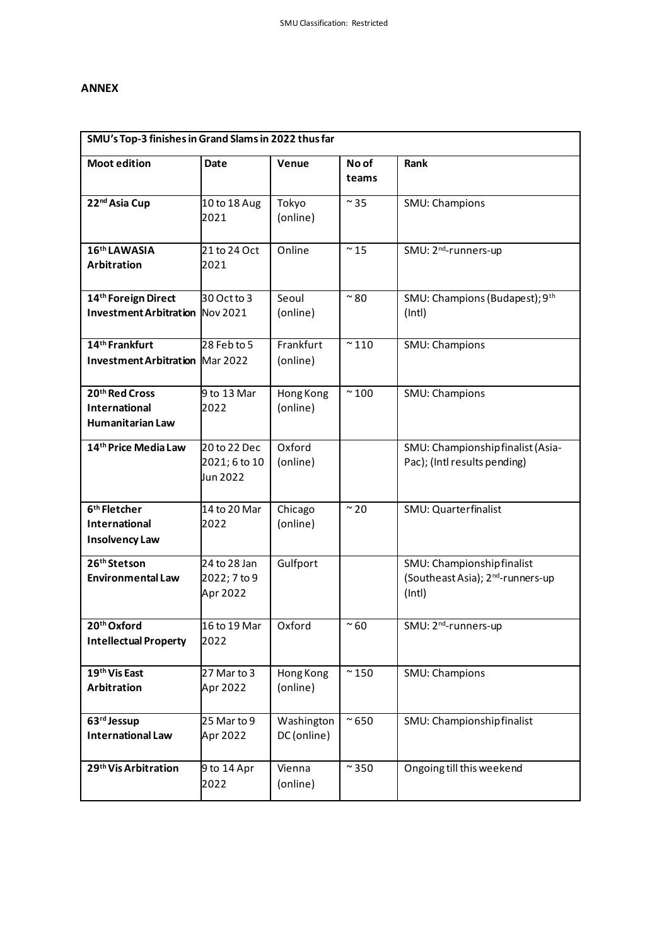## **ANNEX**

| SMU's Top-3 finishes in Grand Slams in 2022 thus far                      |                                           |                           |                |                                                                                      |  |  |  |  |
|---------------------------------------------------------------------------|-------------------------------------------|---------------------------|----------------|--------------------------------------------------------------------------------------|--|--|--|--|
| <b>Moot edition</b>                                                       | <b>Date</b>                               | Venue                     | No of<br>teams | Rank                                                                                 |  |  |  |  |
| 22nd Asia Cup                                                             | 10 to 18 Aug<br>2021                      | Tokyo<br>(online)         | $\sim$ 35      | SMU: Champions                                                                       |  |  |  |  |
| 16 <sup>th</sup> LAWASIA<br><b>Arbitration</b>                            | 21 to 24 Oct<br>2021                      | Online                    | $\sim$ 15      | SMU: 2 <sup>nd</sup> -runners-up                                                     |  |  |  |  |
| 14 <sup>th</sup> Foreign Direct<br><b>Investment Arbitration Nov 2021</b> | 30 Oct to 3                               | Seoul<br>(online)         | $~^{\sim}80$   | SMU: Champions (Budapest); 9th<br>(int)                                              |  |  |  |  |
| 14 <sup>th</sup> Frankfurt<br><b>Investment Arbitration Mar 2022</b>      | 28 Feb to 5                               | Frankfurt<br>(online)     | $\sim$ 110     | SMU: Champions                                                                       |  |  |  |  |
| 20th Red Cross<br>International<br><b>Humanitarian Law</b>                | 9 to 13 Mar<br>2022                       | Hong Kong<br>(online)     | $\sim$ 100     | SMU: Champions                                                                       |  |  |  |  |
| 14th Price Media Law                                                      | 20 to 22 Dec<br>2021; 6 to 10<br>Jun 2022 | Oxford<br>(online)        |                | SMU: Championship finalist (Asia-<br>Pac); (Intl results pending)                    |  |  |  |  |
| 6 <sup>th</sup> Fletcher<br>International<br><b>Insolvency Law</b>        | 14 to 20 Mar<br>2022                      | Chicago<br>(online)       | $~\sim$ 20     | SMU: Quarterfinalist                                                                 |  |  |  |  |
| 26 <sup>th</sup> Stetson<br><b>Environmental Law</b>                      | 24 to 28 Jan<br>2022; 7 to 9<br>Apr 2022  | Gulfport                  |                | SMU: Championshipfinalist<br>(Southeast Asia); 2 <sup>nd</sup> -runners-up<br>(Intl) |  |  |  |  |
| 20th Oxford<br><b>Intellectual Property</b>                               | 16 to 19 Mar<br>2022                      | Oxford                    | $~\sim$ 60     | SMU: 2 <sup>nd</sup> -runners-up                                                     |  |  |  |  |
| 19th Vis East<br>Arbitration                                              | 27 Mar to 3<br>Apr 2022                   | Hong Kong<br>(online)     | $\sim$ 150     | SMU: Champions                                                                       |  |  |  |  |
| 63rd Jessup<br><b>International Law</b>                                   | 25 Mar to 9<br>Apr 2022                   | Washington<br>DC (online) | $\sim$ 650     | SMU: Championshipfinalist                                                            |  |  |  |  |
| 29 <sup>th</sup> Vis Arbitration                                          | 9 to 14 Apr<br>2022                       | Vienna<br>(online)        | $\sim$ 350     | Ongoing till this weekend                                                            |  |  |  |  |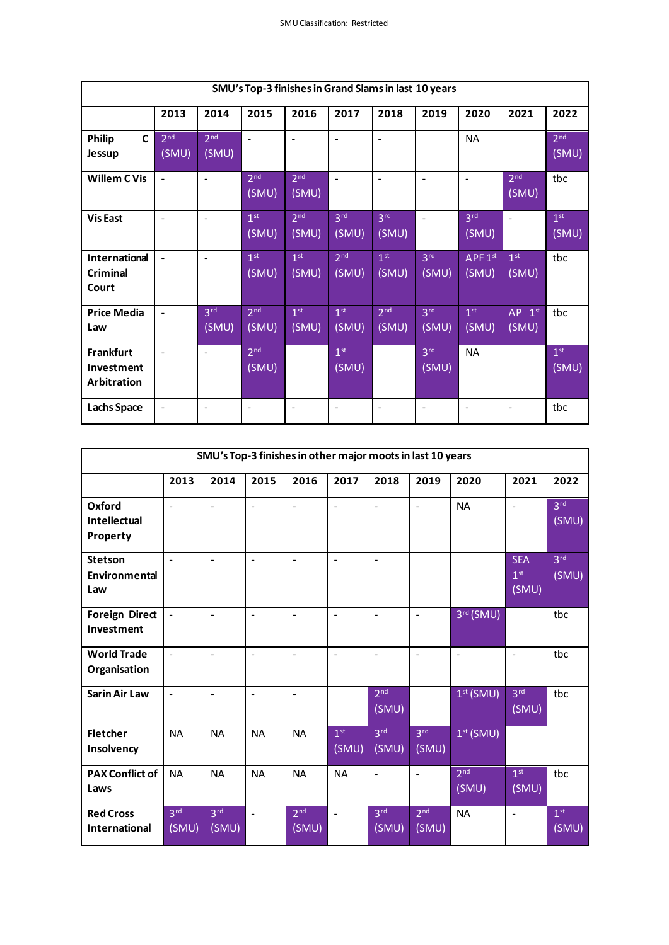| SMU's Top-3 finishes in Grand Slams in last 10 years |                          |                          |                          |                          |                          |                          |                          |                             |                          |                          |
|------------------------------------------------------|--------------------------|--------------------------|--------------------------|--------------------------|--------------------------|--------------------------|--------------------------|-----------------------------|--------------------------|--------------------------|
|                                                      | 2013                     | 2014                     | 2015                     | 2016                     | 2017                     | 2018                     | 2019                     | 2020                        | 2021                     | 2022                     |
| $\mathbf{C}$<br>Philip<br>Jessup                     | 2 <sup>nd</sup><br>(SMU) | 2 <sup>nd</sup><br>(SMU) |                          | $\blacksquare$           | $\blacksquare$           | $\overline{\phantom{a}}$ |                          | <b>NA</b>                   |                          | 2 <sup>nd</sup><br>(SMU) |
| <b>Willem CVis</b>                                   | $\blacksquare$           | $\blacksquare$           | 2 <sup>nd</sup><br>(SMU) | 2 <sup>nd</sup><br>(SMU) | $\blacksquare$           | $\blacksquare$           | $\blacksquare$           | $\blacksquare$              | 2 <sup>nd</sup><br>(SMU) | tbc                      |
| <b>Vis East</b>                                      |                          | $\overline{a}$           | 1 <sup>st</sup><br>(SMU) | 2 <sup>nd</sup><br>(SMU) | 3 <sup>rd</sup><br>(SMU) | 3 <sup>rd</sup><br>(SMU) | $\overline{a}$           | 3 <sup>rd</sup><br>(SMU)    | $\ddot{\phantom{1}}$     | 1 <sup>st</sup><br>(SMU) |
| <b>International</b><br>Criminal<br>Court            |                          | $\overline{\phantom{0}}$ | 1 <sup>st</sup><br>(SMU) | 1 <sup>st</sup><br>(SMU) | 2 <sub>nd</sub><br>(SMU) | 1 <sup>st</sup><br>(SMU) | 3 <sup>rd</sup><br>(SMU) | APF1 <sup>st</sup><br>(SMU) | 1 <sup>st</sup><br>(SMU) | tbc                      |
| <b>Price Media</b><br>Law                            | $\blacksquare$           | 3 <sup>rd</sup><br>(SMU) | 2 <sup>nd</sup><br>(SMU) | 1 <sup>st</sup><br>(SMU) | 1 <sup>st</sup><br>(SMU) | 2 <sup>nd</sup><br>(SMU) | 3 <sup>rd</sup><br>(SMU) | 1 <sup>st</sup><br>(SMU)    | $AP$ $1*$<br>(SMU)       | tbc                      |
| <b>Frankfurt</b><br>Investment<br>Arbitration        | $\blacksquare$           | $\blacksquare$           | 2 <sup>nd</sup><br>(SMU) |                          | 1 <sup>st</sup><br>(SMU) |                          | 3 <sup>rd</sup><br>(SMU) | <b>NA</b>                   |                          | 1 <sup>st</sup><br>(SMU) |
| <b>Lachs Space</b>                                   |                          | $\blacksquare$           | $\overline{\phantom{a}}$ | $\overline{\phantom{a}}$ | $\blacksquare$           | $\blacksquare$           | $\blacksquare$           | $\blacksquare$              | $\blacksquare$           | tbc                      |

| SMU's Top-3 finishes in other major moots in last 10 years |                          |                          |                |                          |                          |                          |                          |                          |                                        |                          |
|------------------------------------------------------------|--------------------------|--------------------------|----------------|--------------------------|--------------------------|--------------------------|--------------------------|--------------------------|----------------------------------------|--------------------------|
|                                                            | 2013                     | 2014                     | 2015           | 2016                     | 2017                     | 2018                     | 2019                     | 2020                     | 2021                                   | 2022                     |
| Oxford<br><b>Intellectual</b><br>Property                  | $\overline{a}$           | $\overline{a}$           | $\overline{a}$ | $\overline{\phantom{a}}$ | $\blacksquare$           | $\blacksquare$           | $\overline{a}$           | <b>NA</b>                | $\sim$                                 | 3 <sup>rd</sup><br>(SMU) |
| <b>Stetson</b><br>Environmental<br>Law                     | $\blacksquare$           | ÷,                       | $\overline{a}$ | $\overline{a}$           | $\blacksquare$           | $\blacksquare$           |                          |                          | <b>SEA</b><br>1 <sup>st</sup><br>(SMU) | 3 <sup>rd</sup><br>(SMU) |
| <b>Foreign Direct</b><br>Investment                        | ÷,                       | ÷,                       | $\overline{a}$ | $\overline{a}$           | $\overline{\phantom{a}}$ | $\ddot{\phantom{1}}$     | $\blacksquare$           | 3rd (SMU)                |                                        | tbc                      |
| <b>World Trade</b><br>Organisation                         | $\blacksquare$           | $\overline{a}$           | $\overline{a}$ | $\blacksquare$           | $\blacksquare$           | $\blacksquare$           | ÷,                       | $\blacksquare$           | $\blacksquare$                         | tbc                      |
| <b>Sarin Air Law</b>                                       | $\blacksquare$           | $\overline{a}$           | $\overline{a}$ | $\blacksquare$           |                          | 2 <sup>nd</sup><br>(SMU) |                          | $1st$ (SMU)              | 3 <sup>rd</sup><br>(SMU)               | tbc                      |
| <b>Fletcher</b><br>Insolvency                              | <b>NA</b>                | <b>NA</b>                | <b>NA</b>      | <b>NA</b>                | 1 <sup>st</sup><br>(SMU) | 3 <sup>rd</sup><br>(SMU) | 3 <sup>rd</sup><br>(SMU) | $1st$ (SMU)              |                                        |                          |
| <b>PAX Conflict of</b><br>Laws                             | <b>NA</b>                | <b>NA</b>                | <b>NA</b>      | <b>NA</b>                | <b>NA</b>                | $\ddot{\phantom{1}}$     | ÷,                       | 2 <sub>nd</sub><br>(SMU) | 1 <sup>st</sup><br>(SMU)               | tbc                      |
| <b>Red Cross</b><br><b>International</b>                   | 3 <sup>rd</sup><br>(SMU) | 3 <sup>rd</sup><br>(SMU) | L,             | 2 <sup>nd</sup><br>(SMU) |                          | 3 <sup>rd</sup><br>(SMU) | 2 <sup>nd</sup><br>(SMU) | <b>NA</b>                | $\blacksquare$                         | 1 <sup>st</sup><br>(SMU) |